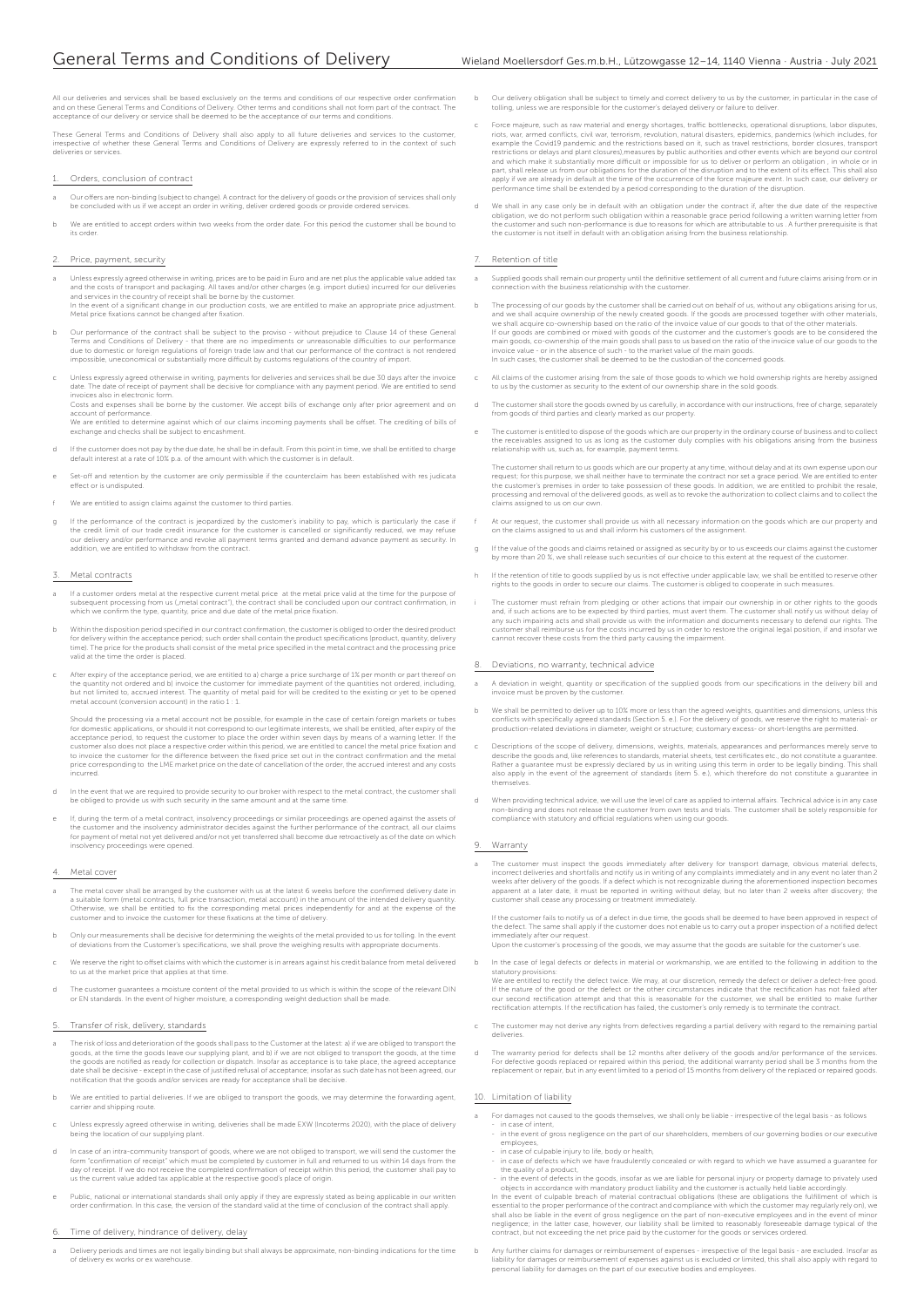All our deliveries and services shall be based exclusively on the terms and conditions of our respective order confirmation<br>and on these General Terms and Conditions of Delivery. Other terms and conditions shall not form p

These General Terms and Conditions of Delivery shall also apply to all future deliveries and services to the customer,<br>irrespective of whether these General Terms and Conditions of Delivery are expressly referred to in the deliveries or services.

## Orders, conclusion of contract

- Our offers are non-binding (subject to change). A contract for the delivery of goods or the provision of services shall only be concluded with us if we accept an order in writing, deliver ordered goods or provide ordered services.
- We are entitled to accept orders within two weeks from the order date. For this period the customer shall be bound to its order.

## 2. Price, payment, security

- In these sexpressiy agreed otherwise in writing, prices are to be paid in Euro and are net plus the applicable value added tax<br>and the costs of transport and packaging. All taxes and/or other charges (e.g. import duties) i
- b Our performance of the contract shall be subject to the proviso without prejudice to Clause 14 of these General Terms and Conditions of Delivery - that there are no impediments or unreasonable difficulties to our performance<br>due to domestic or foreign regulations of foreign trade law and that our performance of the contract is not r impossible, uneconomical or substantially more difficult by customs regulations of the country of import.
- Unless expressly agreed otherwise in writing, payments for deliveries and services shall be due 30 days after the invoice<br>date. The date of receipt of payment shall be decisive for compliance with any payment period. We ar

date. The date of receipt of payment shall be decisive for compliance with any payment period. We are entitled to send<br>invoices also in electronic form.<br>Costs and expenses shall be borne by the customer. We accept bills of

- d If the customer does not pay by the due date, he shall be in default. From this point in time, we shall be entitled to charge default interest at a rate of 10% p.a. of the amount with which the customer is in default.
- e Set-off and retention by the customer are only permissible if the counterclaim has been established with res judicata effect or is undisputed.
- We are entitled to assign claims against the customer to third parties.
- g If the performance of the contract is jeopardized by the customer's inability to pay, which is particularly the case if<br>the credit limit of our trade credit insurance for the customer is cancelled or significantly reduce

#### Metal contracts

- If a customer orders metal at the respective current metal price at the metal price valid at the time for the purpose of subsequent processing from us ("metal contract"), the contract shall be concluded upon our contract confirmation, in which we confirm the type, quantity, price and due date of the metal price fixation
- b Within the disposition period specified in our contract confirmation, the customer is obliged to order the desired product for delivery within the acceptance period; such order shall contain the product specifications (product, quantity, delivery<br>time). The price for the products shall consist of the metal price specified in the metal contract
- C After expiry of the acceptance period, we are entitled to a) charge a price surcharge of 1% per month or part thereof on<br>the quantity not ordered and b) invoice the customer for immediate payment of the quantities not or

Should the processing via a metal account not be possible, for example in the case of certain foreign markets or tubes<br>for domestic applications, or should it not correspond to our legitimate interests, we shall be entitle acceptance period, to request the customer to place the order within seven days by means of a warning letter. If the customer also does not place a respective order within this period, we are entitled to cancel the metal price fixation and<br>to invoice the customer for the difference between the fixed price set out in the contract confirma price corresponding to the LME market price on the date of cancellation of the order, the accrued interest and any costs incurred.

- In the event that we are required to provide security to our broker with respect to the metal contract, the customer shall be obliged to provide us with such security in the same amount and at the same
- lf, during the term of a metal contract, insolvency proceedings or similar proceedings are opened against the assets of<br>the customer and the insolvency administrator decides against the further performance of the contract, insolvency proceedings were opened.

#### Metal cover

- The metal cover shall be arranged by the customer with us at the latest 6 weeks before the confirmed delivery date in<br>a suitable form (metal contracts, full price transaction, metal account) in the amount of the intended d Otherwise, we shall be entitled to fix the corresponding metal prices independently for and at the expense of the customer and to invoice the customer for these fixations at the time of delivery.<br>Inter and to invoice the customer for these fixations at the time of delivery.
- b Only our measurements shall be decisive for determining the weights of the metal provided to us for tolling. In the event<br>of deviations from the Customer's specifications, we shall prove the weighing results with appropr
- We reserve the right to offset claims with which the customer is in arrears against his credit balance from metal delivered to us at the market price that applies at that time.
- d The customer guarantees a moisture content of the metal provided to us which is within the scope of the relevant DIN or EN standards. In the event of higher moisture, a corresponding weight deduction shall be made.

## 5. Transfer of risk, delivery, standards

- The risk of loss and deterioration of the goods shall pass to the Customer at the latest: a) if we are obliged to transport the goods, at the time the goods leave our supplying plant, and b) if we are not obliged to transport the goods, at the time<br>the goods are notified as ready for collection or dispatch. Insofar as acceptance is to take place, t
- We are entitled to partial deliveries. If we are obliged to transport the goods, we may determine the forvarding agent, the form carrier and shipping route.
- c Unless expressly agreed otherwise in writing, deliveries shall be made EXW (Incoterms 2020), with the place of delivery being the location of our supplying plant.
- d In case of an intra-community transport of goods, where we are not obliged to transport, we will send the customer the form "confirmation of receipt" which must be completed by customer in full and returned to us within 14 days from the<br>day of receipt. If we do not receive the completed confirmation of receipt within this period, the custo usy of receipt in we do not receive the completed committation of receipt within us the current value added tax applicable at the respective good's place of origin.
- e Public, national or international standards shall only apply if they are expressly stated as being applicable in our written<br>. order confirmation. In this case, the version of the standard valid at the time of conclusion

#### 6. Time of delivery, hindrance of delivery, delay

a Delivery periods and times are not legally binding but shall always be approximate, non-binding indications for the time of delivery ex works or ex war

- b Our delivery obligation shall be subject to timely and correct delivery to us by the customer, in particular in the case of tolling, unless we are responsible for the customer's delayed delivery or failure to deliver.
- C Force majeure, such as raw material and energy shortages, traffic bottlenecks, operational disruptions, labor disputes, for example the Covid19 pandemic and the restrictions based on it, such as travel restrictions, bord
- We shall in any case only be in default with an obligation under the contract if, after the due date of the respective<br>obligation, we do not perform such obligation within a reasonable grace period following a written warn the customer is not itself in default with an obligation arising from the business relationship.

## Retention of title

- a Supplied goods shall remain our property until the definitive settlement of all current and future claims arising from or in connection with the business relationship with the customer.
- b The processing of our goods by the customer shall be carried out on behalf of us, without any obligations arising for us,<br>and we shall acquire ownership of the newly created goods. If the goods are processed together wit main goods, co-ownership of the main goods shall pass to us based on the ratio of the invoice value of our goods to the invoice value - or in the absence of such - to the market value of the main goods. In such cases, the customer shall be deemed to be the custodian of the concerned goods.
- c All claims of the customer arising from the sale of those goods to which we hold ownership rights are hereby assigned to us by the customer as security to the extent of our ownership share in the sold goods.
- d The customer shall store the goods owned by us carefully, in accordance with our instructions, free of charge, separately from goods of third parties and clearly marked as our property.
- e The customer is entitled to dispose of the goods which are our property in the ordinary course of business and to collect<br>the receivables assigned to us as long as the customer duly complies with his obligations arising

The customer shall return to us goods which are our property at any time, without delay and at its own expense upon our request; for this purpose, we shall neither have to terminate the contract nor set a grace period. We are entitled to enter<br>the customer's premises in order to take possession of these goods. In addition, we are entitled t processing and removal of the delivered goods, as well as to revoke the authorization to collect claims and to collect the claims assigned to us on our own.

- At our request, the customer shall provide us with all necessary information on the goods which are our property and<br>on the claims assigned to us and shall inform his customers of the assignment. on the claims assigned to us and shall inform his customers of the assigned to us and shall inform his customers of the assignment.
- If the value of the goods and claims retained or assigned as security by or to us exceeds our claims against the customer<br>by more than 20 %, we shall release such securities of our choice to this extent at the request of t
- If the retention of title to goods supplied by us is not effective under applicable law, we shall be entitled to reserve other<br>rights to the goods in order to secure our claims. The customer is obliged to cooperate in such
- The customer must refrain from pledging or other actions that impair our ownership in or other rights to the goods and, if such actions are to be expected by third parties, must avert them. The customer shall notify us without delay of<br>any such impairing acts and shall provide us with the information and documents necessary to defend o customer shall reimburse us for the costs incurred by us in order to restore the original legal position, if and insofar we cannot recover these costs from the third party causing the impairment.

### 8. Deviations, no warranty, technical advice

- a A deviation in weight, quantity or specification of the supplied goods from our specifications in the delivery bill and invoice must be proven by the customer.
- b We shall be permitted to deliver up to 10% more or less than the agreed weights, quantities and dimensions, unless this<br>conflicts with specifically agreed standards (Section 5. e.). For the delivery of goods, we reserve
- c Descriptions of the scope of delivery, dimensions, weights, materials, appearances and performances merely serve to<br>describe the goods and, like references to standards, material sheets, test certificates etc., do not co Rather a guarantee must be expressly declared by us in writing using this term in order to be legally binding. This shall<br>also apply in the event of the agreement of standards (item 5. e.), which therefore do not constitut themselves.
- When providing technical advice, we will use the level of care as applied to internal affairs. Technical advice is in any case<br>non-binding and does not release the customer from own tests and trials. The customer shall be

## Warranty

a The customer must inspect the goods immediately after delivery for transport damage, obvious material defects, incorrect deliveries and shortfalls and notify us in writing of any complaints immediately and in any event no later than 2 weeks after delivery of the goods. If a defect which is not recognizable during the aforementioned inspection becom apparent at a later date, it must be reported in writing without delay, but no later than 2 weeks after discovery; the customer shall cease any processing or treatment immediately.

If the customer fails to notify us of a defect in due time, the goods shall be deemed to have been approved in respect of<br>the defect. The same shall apply if the customer does not enable us to carry out a proper inspection immediately after our request. Upon the customer's processing of the goods, we may assume that the goods are suitable for the customer's use.

In the case of legal defects or defects in material or workmanship, we are entitled to the following in additi

- statutory provisions: We are entitled to rectify the defect twice. We may, at our discretion, remedy the defect or deliver a defect-free good.
- If the nature of the good or the defect or the other circumstances indicate that the rectification has not failed after<br>our second rectification attempt and that this is reasonable for the customer, we shall be entitled to The customer may not derive any rights from defectives regarding a partial delivery with regard to the remaining partial
- deliveries.
- The warranty period for defects shall be 12 months after delivery of the goods and/or performance of the services.<br>For defective goods replaced or repaired within this period, the additional warranty period shall be 3 mont

### 10. Limitation of liability

- For damages not caused to the goods themselves, we shall only be liable irrespective of the legal basis as follows
- in case of intent, in the event of gross negligence on the part of our shareholders, members of our governing bodies or our executive employees,
- in case of culpable injury to life, body or health,
- in case of defects which we have fraudulently concealed or with regard to which we have assumed a guarantee for the quality of a product,<br>in the event of defects in the goods, insofar as we are liable for personal injury or property damage to privately used
- in the event of defects in the goods, insofar as we are liable for personal injury or property damage to privately used<br>objects in accordance with mandatory product liability and the customer is actually held liable acco
- b Any further claims for damages or reimbursement of expenses irrespective of the legal basis are excluded. Insofar as liability for damages or reimbursement of expenses against us is excluded or limited, this shall also apply with regard to personal liability for damages on the part of our executive bodies and employees.